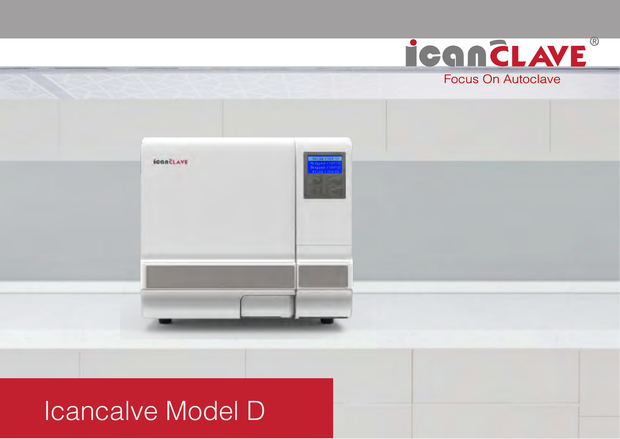

# Icancalve Model D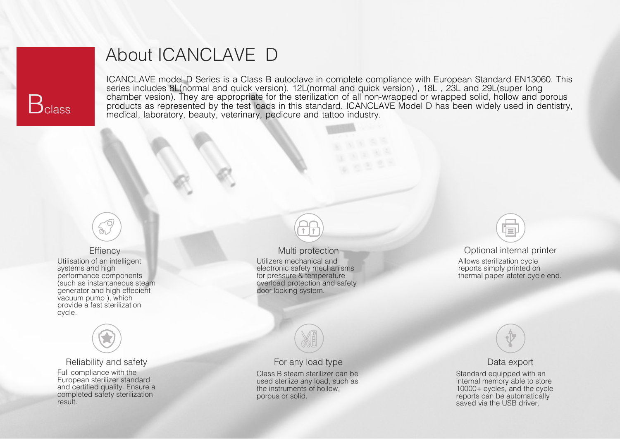

## About ICANCLAVE D

ICANCLAVE model D Series is a Class B autoclave in complete compliance with European Standard EN13060. This series includes 8L(normal and quick version), 12L(normal and quick version) , 18L , 23L and 29L(super long chamber vesion). They are appropriate for the sterilization of all non-wrapped or wrapped solid, hollow and porous products as represented by the test loads in this standard. ICANCLAVE Model D has been widely used in dentistry, medical, laboratory, beauty, veterinary, pedicure and tattoo industry.



## **Effiency**

Utilisation of an intelligent systems and high performance components (such as instantaneous steam generator and high effecient vacuum pump ), which provide a fast sterilization cycle.



## Reliability and safety

Full compliance with the European sterilizer standard and certified quality. Ensure a completed safety sterilization result.

## Multi protection

Utilizers mechanical and electronic safety mechanisms for pressure & temperature overload protection and safety door locking system.



## For any load type

Class B steam sterilizer can be used steriize any load, such as the instruments of hollow, porous or solid.



## Optional internal printer

Allows sterilization cycle reports simply printed on thermal paper afeter cycle end.



### Data export

Standard equipped with an internal memory able to store 10000+ cycles, and the cycle reports can be automatically saved via the USB driver.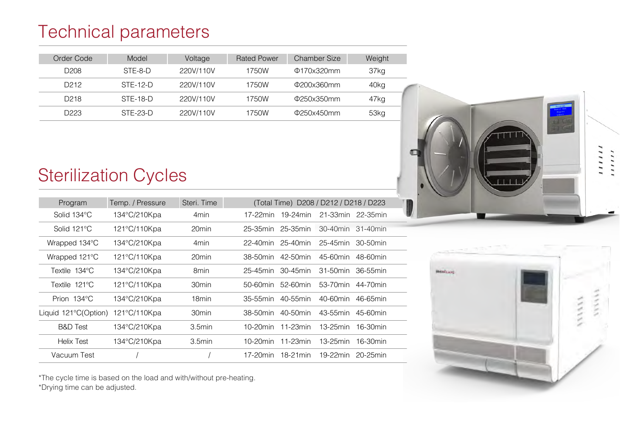# Technical parameters

| Order Code       | Model      | Voltage   | <b>Rated Power</b> | Chamber Size     | Weight |
|------------------|------------|-----------|--------------------|------------------|--------|
| D <sub>208</sub> | STF-8-D    | 220V/110V | 1750W              | $\Phi$ 170x320mm | 37kg   |
| D <sub>212</sub> | $STF-12-D$ | 220V/110V | 1750W              | Φ200x360mm       | 40kg   |
| D <sub>218</sub> | $STF-18-D$ | 220V/110V | 1750W              | Φ250x350mm       | 47kg   |
| D223             | $STF-23-D$ | 220V/110V | 1750W              | $\Phi$ 250x450mm | 53kg   |
|                  |            |           |                    |                  |        |

# Sterilization Cycles

| Program               | Temp. / Pressure | Steri. Time       | (Total Time) D208 / D212 / D218 / D223                      |  |  |  |  |  |
|-----------------------|------------------|-------------------|-------------------------------------------------------------|--|--|--|--|--|
| Solid 134°C           | 134°C/210Kpa     | 4 <sub>min</sub>  | 19-24 <sub>min</sub><br>$21-33$ min<br>22-35min<br>17-22min |  |  |  |  |  |
| Solid 121°C           | 121°C/110Kpa     | 20 <sub>min</sub> | 25-35min<br>30-40min<br>25-35min<br>$31-40$ min             |  |  |  |  |  |
| Wrapped 134°C         | 134°C/210Kpa     | 4 <sub>min</sub>  | 22-40min<br>$25-40$ min<br>$25 - 45$ min<br>$30-50$ min     |  |  |  |  |  |
| Wrapped 121°C         | 121°C/110Kpa     | 20min             | $42 - 50$ min<br>45-60min<br>$48-60$ min<br>38-50min        |  |  |  |  |  |
| Textile 134°C         | 134°C/210Kpa     | 8 <sub>min</sub>  | 30-45min<br>25-45min<br>$31-50$ min<br>36-55min             |  |  |  |  |  |
| Textile 121°C         | 121°C/110Kpa     | 30 <sub>min</sub> | 52-60min<br>53-70min<br>$50-60$ min<br>44-70min             |  |  |  |  |  |
| Prion $134^{\circ}$ C | 134°C/210Kpa     | 18 <sub>min</sub> | 40-55min<br>$40-60$ min<br>35-55min<br>46-65min             |  |  |  |  |  |
| Liquid 121°C(Option)  | 121°C/110Kpa     | 30 <sub>min</sub> | 38-50min<br>40-50min<br>43-55min<br>45-60min                |  |  |  |  |  |
| <b>B&amp;D</b> Test   | 134°C/210Kpa     | 3.5min            | $11-23$ min<br>13-25min<br>16-30min<br>$10-20$ min          |  |  |  |  |  |
| Helix Test            | 134°C/210Kpa     | 3.5min            | $11-23$ min<br>$13-25$ min<br>$10-20$ min<br>$16-30$ min    |  |  |  |  |  |
| Vacuum Test           |                  |                   | $17-20$ min<br>$18-21$ min<br>$19-22$ min<br>$20-25$ min    |  |  |  |  |  |



,,,,,, ,,,,,,

\*The cycle time is based on the load and with/without pre-heating. \*Drying time can be adjusted.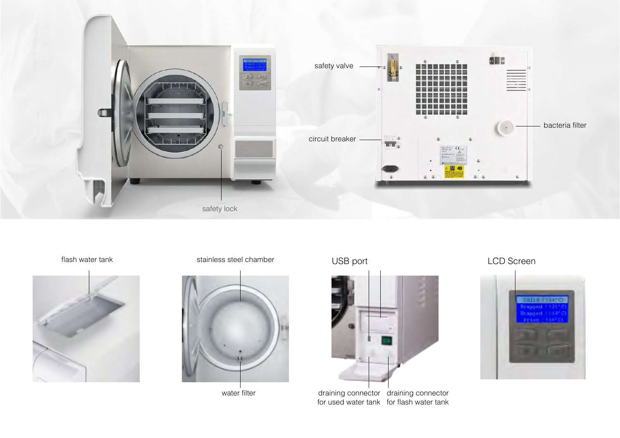



## flash water tank water tank water tank the stainless steel chamber when  $\sf{USB}$  port the state  $\sf{LCD}$  Screen



water filter



draining connector for used water tank draining connector for flash water tank

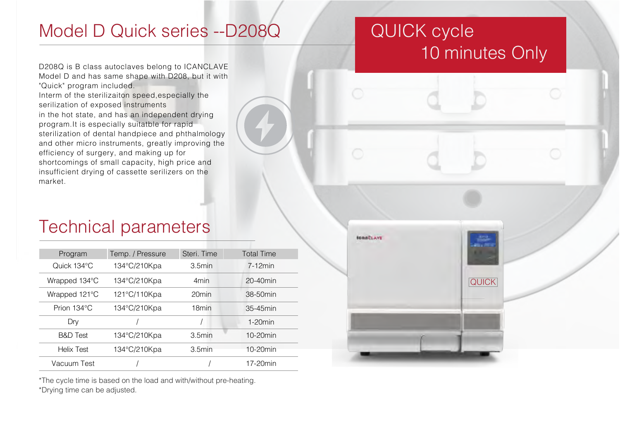## Model D Quick series --D208Q

# QUICK cycle 10 minutes Only

D208Q is B class autoclaves belong to ICANCLAVE Model D and has same shape with D208, but it with "Quick" program included.

Interm of the sterilizaiton speed,especially the serilization of exposed instruments in the hot state, and has an independent drying program.It is especially suitatble for rapid sterilization of dental handpiece and phthalmology and other micro instruments, greatly improving the efficiency of surgery, and making up for shortcomings of small capacity, high price and insufficient drying of cassette serilizers on the market.

## Technical parameters

| Program             | Temp. / Pressure | Steri. Time       | <b>Total Time</b> |  |
|---------------------|------------------|-------------------|-------------------|--|
| Quick 134°C         | 134°C/210Kpa     | 3.5min            | $7-12$ min        |  |
| Wrapped 134°C       | 134°C/210Kpa     | 4 <sub>min</sub>  | $20-40$ min       |  |
| Wrapped 121°C       | 121°C/110Kpa     | 20 <sub>min</sub> | 38-50min          |  |
| Prion 134°C         | 134°C/210Kpa     | 18 <sub>min</sub> | $35-45$ min       |  |
| Dry                 |                  |                   | $1-20$ min        |  |
| <b>B&amp;D</b> Test | 134°C/210Kpa     | 3.5min            | $10-20$ min       |  |
| <b>Helix Test</b>   | 134°C/210Kpa     | 3.5min            | $10-20$ min       |  |
| Vacuum Test         |                  |                   | 17-20min          |  |

\*The cycle time is based on the load and with/without pre-heating. \*Drying time can be adjusted.

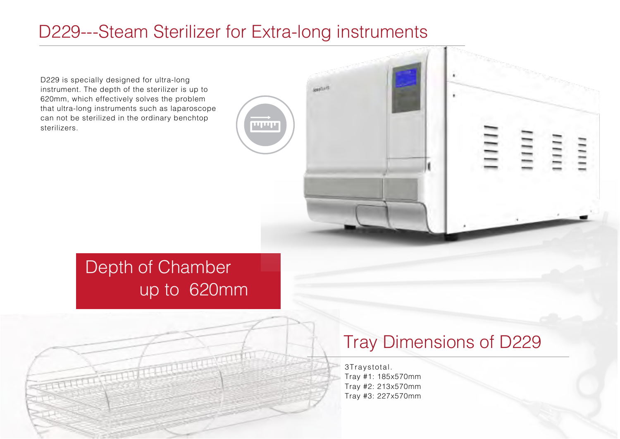## D229---Steam Sterilizer for Extra-long instruments

D229 is specially designed for ultra-long instrument. The depth of the sterilizer is up to 620mm, which effectively solves the problem that ultra-long instruments such as laparoscope can not be sterilized in the ordinary benchtop sterilizers.



# Depth of Chamber up to 620mm

# TITULIUM

# Tray Dimensions of D229

3 Traystotal. Tray #1: 185x570mm Tray #2: 213x570mm Tray #3: 227x570mm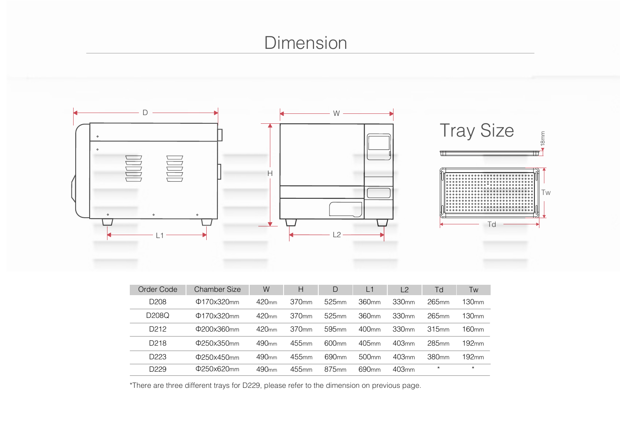# Dimension



| Order Code         | Chamber Size     | W                 | Н        | D                 | L1                | L <sub>2</sub>      | Td                | Tw                |
|--------------------|------------------|-------------------|----------|-------------------|-------------------|---------------------|-------------------|-------------------|
| D <sub>208</sub>   | $\Phi$ 170x320mm | 420 <sub>mm</sub> | .370mm   | 525 <sub>mm</sub> | 360mm             | 330mm               | $265$ mm          | ı 30mm            |
| D <sub>208</sub> Q | $\Phi$ 170x320mm | 420 <sub>mm</sub> | 370mm    | 525 <sub>mm</sub> | 360mm             | 330 <sub>mm</sub>   | $265$ mm          | 30mm              |
| D <sub>2</sub> 12  | $\Phi$ 200x360mm | 420 <sub>mm</sub> | .370mm   | 595 <sub>mm</sub> | 400 <sub>mm</sub> | 330 <sub>mm</sub>   | 315mm             | 160mm             |
| D <sub>218</sub>   | $\Phi$ 250x350mm | 490 <sub>mm</sub> | $455$ mm | 600 <sub>mm</sub> | $405$ mm          | 403 <sub>mm</sub>   | 285 <sub>mm</sub> | 192 <sub>mm</sub> |
| D223               | $\Phi$ 250x450mm | 490 <sub>mm</sub> | $455$ mm | 690 <sub>mm</sub> | 500 <sub>mm</sub> | $403$ <sub>mm</sub> | 380mm             | 192 <sub>mm</sub> |
| D <sub>229</sub>   | $\Phi$ 250x620mm | 490 <sub>mm</sub> | $455$ mm | 875 <sub>mm</sub> | 690 <sub>mm</sub> | $403$ <sub>mm</sub> | $\star$           | $\star$           |

\*There are three different trays for D229, please refer to the dimension on previous page.